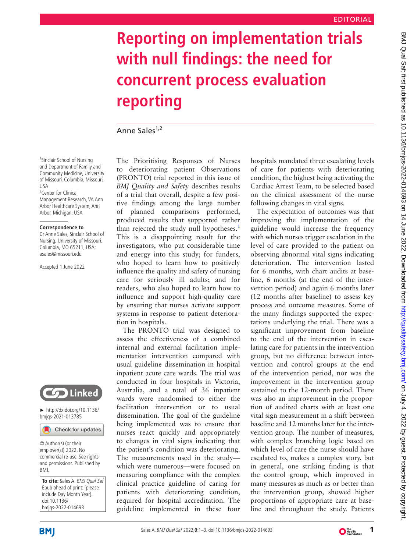## **Reporting on implementation trials with null findings: the need for concurrent process evaluation reporting**

Anne Sales<sup>1,2</sup>

<sup>1</sup>Sinclair School of Nursing and Department of Family and Community Medicine, University of Missouri, Columbia, Missouri,  $IIS<sub>\Delta</sub>$ <sup>2</sup> Center for Clinical

Management Research, VA Ann Arbor Healthcare System, Ann Arbor, Michigan, USA

## **Correspondence to**

Dr Anne Sales, Sinclair School of Nursing, University of Missouri, Columbia, MO 65211, USA; asales@missouri.edu

Accepted 1 June 2022



► [http://dx.doi.org/10.1136/](http://dx.doi.org/10.1136/bmjqs-2021-013785) [bmjqs-2021-013785](http://dx.doi.org/10.1136/bmjqs-2021-013785)

Check for updates

© Author(s) (or their employer(s)) 2022. No commercial re-use. See rights and permissions. Published by BMJ.

**To cite:** Sales A. BMJ Qual Saf Epub ahead of print: [please include Day Month Year]. doi:10.1136/ bmjqs-2022-014693

The Prioritising Responses of Nurses to deteriorating patient Observations (PRONTO) trial reported in this issue of *BMJ Quality and Safety* describes results of a trial that overall, despite a few positive findings among the large number of planned comparisons performed, produced results that supported rather than rejected the study null hypotheses.<sup>[1](#page-2-0)</sup> This is a disappointing result for the investigators, who put considerable time and energy into this study; for funders, who hoped to learn how to positively influence the quality and safety of nursing care for seriously ill adults; and for readers, who also hoped to learn how to influence and support high-quality care by ensuring that nurses activate support systems in response to patient deterioration in hospitals.

The PRONTO trial was designed to assess the effectiveness of a combined internal and external facilitation implementation intervention compared with usual guideline dissemination in hospital inpatient acute care wards. The trial was conducted in four hospitals in Victoria, Australia, and a total of 36 inpatient wards were randomised to either the facilitation intervention or to usual dissemination. The goal of the guideline being implemented was to ensure that nurses react quickly and appropriately to changes in vital signs indicating that the patient's condition was deteriorating. The measurements used in the study which were numerous—were focused on measuring compliance with the complex clinical practice guideline of caring for patients with deteriorating condition, required for hospital accreditation. The guideline implemented in these four

hospitals mandated three escalating levels of care for patients with deteriorating condition, the highest being activating the Cardiac Arrest Team, to be selected based on the clinical assessment of the nurse following changes in vital signs.

The expectation of outcomes was that improving the implementation of the guideline would increase the frequency with which nurses trigger escalation in the level of care provided to the patient on observing abnormal vital signs indicating deterioration. The intervention lasted for 6 months, with chart audits at baseline, 6 months (at the end of the intervention period) and again 6 months later (12 months after baseline) to assess key process and outcome measures. Some of the many findings supported the expectations underlying the trial. There was a significant improvement from baseline to the end of the intervention in escalating care for patients in the intervention group, but no difference between intervention and control groups at the end of the intervention period, nor was the improvement in the intervention group sustained to the 12-month period. There was also an improvement in the proportion of audited charts with at least one vital sign measurement in a shift between baseline and 12 months later for the intervention group. The number of measures, with complex branching logic based on which level of care the nurse should have escalated to, makes a complex story, but in general, one striking finding is that the control group, which improved in many measures as much as or better than the intervention group, showed higher proportions of appropriate care at baseline and throughout the study. Patients



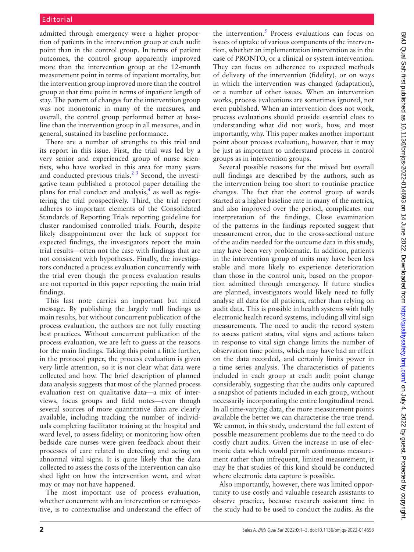admitted through emergency were a higher proportion of patients in the intervention group at each audit point than in the control group. In terms of patient outcomes, the control group apparently improved more than the intervention group at the 12-month measurement point in terms of inpatient mortality, but the intervention group improved more than the control group at that time point in terms of inpatient length of stay. The pattern of changes for the intervention group was not monotonic in many of the measures, and overall, the control group performed better at baseline than the intervention group in all measures, and in general, sustained its baseline performance.

There are a number of strengths to this trial and its report in this issue. First, the trial was led by a very senior and experienced group of nurse scientists, who have worked in this area for many years and conducted previous trials. $^{2}$ <sup>3</sup> Second, the investigative team published a protocol paper detailing the plans for trial conduct and analysis, $<sup>4</sup>$  $<sup>4</sup>$  $<sup>4</sup>$  as well as regis-</sup> tering the trial prospectively. Third, the trial report adheres to important elements of the Consolidated Standards of Reporting Trials reporting guideline for cluster randomised controlled trials. Fourth, despite likely disappointment over the lack of support for expected findings, the investigators report the main trial results—often not the case with findings that are not consistent with hypotheses. Finally, the investigators conducted a process evaluation concurrently with the trial even though the process evaluation results are not reported in this paper reporting the main trial findings.

This last note carries an important but mixed message. By publishing the largely null findings as main results, but without concurrent publication of the process evaluation, the authors are not fully enacting best practices. Without concurrent publication of the process evaluation, we are left to guess at the reasons for the main findings. Taking this point a little further, in the protocol paper, the process evaluation is given very little attention, so it is not clear what data were collected and how. The brief description of planned data analysis suggests that most of the planned process evaluation rest on qualitative data—a mix of interviews, focus groups and field notes—even though several sources of more quantitative data are clearly available, including tracking the number of individuals completing facilitator training at the hospital and ward level, to assess fidelity; or monitoring how often bedside care nurses were given feedback about their processes of care related to detecting and acting on abnormal vital signs. It is quite likely that the data collected to assess the costs of the intervention can also shed light on how the intervention went, and what may or may not have happened.

The most important use of process evaluation, whether concurrent with an intervention or retrospective, is to contextualise and understand the effect of

the intervention.<sup>[5](#page-2-3)</sup> Process evaluations can focus on issues of uptake of various components of the intervention, whether an implementation intervention as in the case of PRONTO, or a clinical or system intervention. They can focus on adherence to expected methods of delivery of the intervention (fidelity), or on ways in which the intervention was changed (adaptation), or a number of other issues. When an intervention works, process evaluations are sometimes ignored, not even published. When an intervention does not work, process evaluations should provide essential clues to understanding what did not work, how, and most importantly, why. This paper makes another important point about process evaluation;, however, that it may be just as important to understand process in control groups as in intervention groups.

Several possible reasons for the mixed but overall null findings are described by the authors, such as the intervention being too short to routinise practice changes. The fact that the control group of wards started at a higher baseline rate in many of the metrics, and also improved over the period, complicates our interpretation of the findings. Close examination of the patterns in the findings reported suggest that measurement error, due to the cross-sectional nature of the audits needed for the outcome data in this study, may have been very problematic. In addition, patients in the intervention group of units may have been less stable and more likely to experience deterioration than those in the control unit, based on the proportion admitted through emergency. If future studies are planned, investigators would likely need to fully analyse all data for all patients, rather than relying on audit data. This is possible in health systems with fully electronic health record systems, including all vital sign measurements. The need to audit the record system to assess patient status, vital signs and actions taken in response to vital sign change limits the number of observation time points, which may have had an effect on the data recorded, and certainly limits power in a time series analysis. The characteristics of patients included in each group at each audit point change considerably, suggesting that the audits only captured a snapshot of patients included in each group, without necessarily incorporating the entire longitudinal trend. In all time-varying data, the more measurement points available the better we can characterise the true trend. We cannot, in this study, understand the full extent of possible measurement problems due to the need to do costly chart audits. Given the increase in use of electronic data which would permit continuous measurement rather than infrequent, limited measurement, it may be that studies of this kind should be conducted where electronic data capture is possible.

Also importantly, however, there was limited opportunity to use costly and valuable research assistants to observe practice, because research assistant time in the study had to be used to conduct the audits. As the